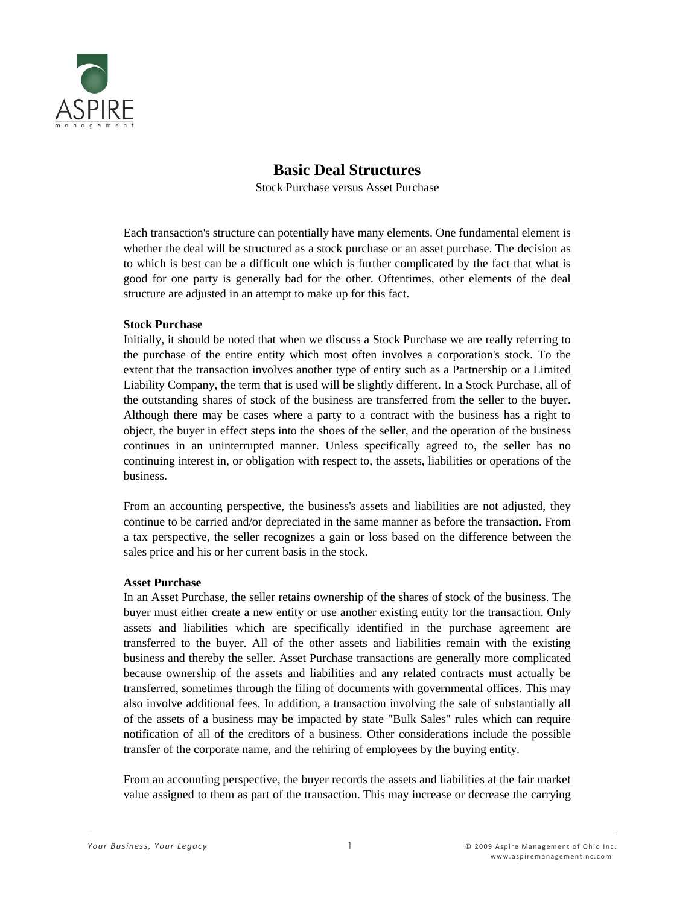

# **Basic Deal Structures**

Stock Purchase versus Asset Purchase

Each transaction's structure can potentially have many elements. One fundamental element is whether the deal will be structured as a stock purchase or an asset purchase. The decision as to which is best can be a difficult one which is further complicated by the fact that what is good for one party is generally bad for the other. Oftentimes, other elements of the deal structure are adjusted in an attempt to make up for this fact.

#### **Stock Purchase**

Initially, it should be noted that when we discuss a Stock Purchase we are really referring to the purchase of the entire entity which most often involves a corporation's stock. To the extent that the transaction involves another type of entity such as a [Partnership](http://www.bizquest.com/resource/glossary/glossary_p.asp#par) or a [Limited](http://www.bizquest.com/resource/glossary/glossary_l.asp#llc)  [Liability Company,](http://www.bizquest.com/resource/glossary/glossary_l.asp#llc) the term that is used will be slightly different. In a Stock Purchase, all of the outstanding shares of stock of the business are transferred from the seller to the buyer. Although there may be cases where a party to a contract with the business has a right to object, the buyer in effect steps into the shoes of the seller, and the operation of the business continues in an uninterrupted manner. Unless specifically agreed to, the seller has no continuing interest in, or obligation with respect to, the assets, liabilities or operations of the business.

From an accounting perspective, the business's assets and liabilities are not adjusted, they continue to be carried and/or depreciated in the same manner as before the transaction. From a tax perspective, the seller recognizes a gain or loss based on the difference between the sales price and his or her current basis in the stock.

## **Asset Purchase**

In an Asset Purchase, the seller retains ownership of the shares of stock of the business. The buyer must either create a new entity or use another existing entity for the transaction. Only assets and liabilities which are specifically identified in the purchase agreement are transferred to the buyer. All of the other assets and liabilities remain with the existing business and thereby the seller. Asset Purchase transactions are generally more complicated because ownership of the assets and liabilities and any related contracts must actually be transferred, sometimes through the filing of documents with governmental offices. This may also involve additional fees. In addition, a transaction involving the sale of substantially all of the assets of a business may be impacted by state "Bulk Sales" rules which can require notification of all of the creditors of a business. Other considerations include the possible transfer of the corporate name, and the rehiring of employees by the buying entity.

From an accounting perspective, the buyer records the assets and liabilities at the fair market value assigned to them as part of the transaction. This may increase or decrease the carrying